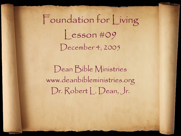Foundation for Living  $|\text{esson}\,\text{\#O9}|$ December 4, 2005

Dean Bible Ministries www.deanbibleministries.org Dr. Robert | Dean, Jr.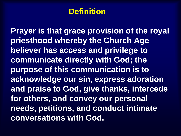#### **Definition**

**Prayer is that grace provision of the royal priesthood whereby the Church Age believer has access and privilege to communicate directly with God; the purpose of this communication is to acknowledge our sin, express adoration and praise to God, give thanks, intercede for others, and convey our personal needs, petitions, and conduct intimate conversations with God.**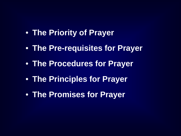- **The Priority of Prayer**
- **The Pre-requisites for Prayer**
- **The Procedures for Prayer**
- **The Principles for Prayer**
- **The Promises for Prayer**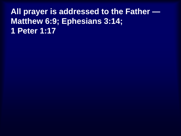# **All prayer is addressed to the Father — Matthew 6:9; Ephesians 3:14; 1 Peter 1:17**

- 
- 
- -
-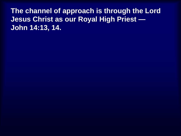**The channel of approach is through the Lord Jesus Christ as our Royal High Priest — John 14:13, 14.**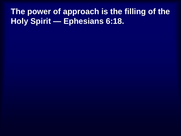# **The power of approach is the filling of the Holy Spirit — Ephesians 6:18.**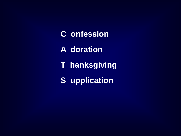**C onfession A dorationT hanksgiving S upplication**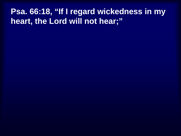# **Psa. 66:18, "If I regard wickedness in my heart, the Lord will not hear;"**

- 
- 
- 
- 
- 
-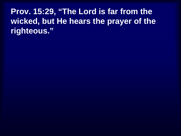**Prov. 15:29, "The Lord is far from the wicked, but He hears the prayer of the righteous."**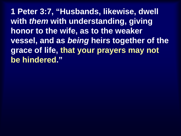**1 Peter 3:7, "Husbands, likewise, dwell with** *them* **with understanding, giving honor to the wife, as to the weaker vessel, and as** *being* **heirs together of the grace of life, that your prayers may not be hindered."**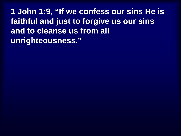**1 John 1:9, "If we confess our sins He is faithful and just to forgive us our sins and to cleanse us from all unrighteousness."**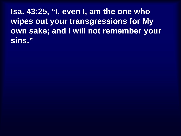**Isa. 43:25, "I, even I, am the one who wipes out your transgressions for My own sake; and I will not remember your sins."**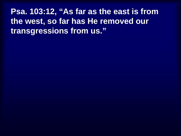**Psa. 103:12, "As far as the east is from the west, so far has He removed our transgressions from us."**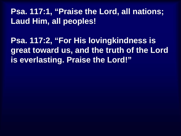# **Psa. 117:1, "Praise the Lord, all nations; Laud Him, all peoples!**

**Psa. 117:2, "For His lovingkindness is great toward us, and the truth of the Lord is everlasting. Praise the Lord!"**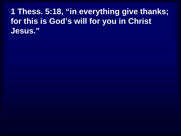**1 Thess. 5:18, "in everything give thanks; for this is God's will for you in Christ Jesus."**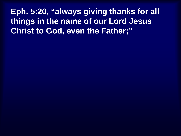**Eph. 5:20, "always giving thanks for all things in the name of our Lord Jesus Christ to God, even the Father;"**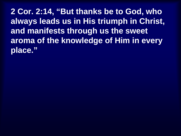**2 Cor. 2:14, "But thanks be to God, who always leads us in His triumph in Christ, and manifests through us the sweet aroma of the knowledge of Him in every place."**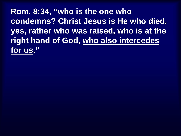**Rom. 8:34, "who is the one who condemns? Christ Jesus is He who died, yes, rather who was raised, who is at the right hand of God, who also intercedes for us."**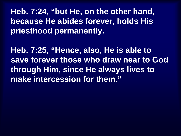**Heb. 7:24, "but He, on the other hand, because He abides forever, holds His priesthood permanently.**

**Heb. 7:25, "Hence, also, He is able to save forever those who draw near to God through Him, since He always lives to make intercession for them."**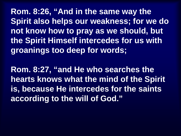**Rom. 8:26, "And in the same way the Spirit also helps our weakness; for we do not know how to pray as we should, but the Spirit Himself intercedes for us with groanings too deep for words;**

**Rom. 8:27, "and He who searches the hearts knows what the mind of the Spirit is, because He intercedes for the saints according to the will of God."**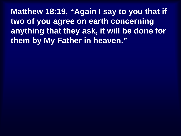**Matthew 18:19, "Again I say to you that if two of you agree on earth concerning anything that they ask, it will be done for them by My Father in heaven."**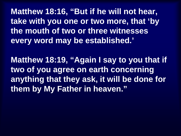**Matthew 18:16, "But if he will not hear, take with you one or two more, that 'by the mouth of two or three witnesses every word may be established.'**

**Matthew 18:19, "Again I say to you that if two of you agree on earth concerning anything that they ask, it will be done for them by My Father in heaven."**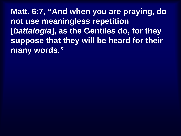**Matt. 6:7, "And when you are praying, do not use meaningless repetition [***battalogia***], as the Gentiles do, for they suppose that they will be heard for their many words."**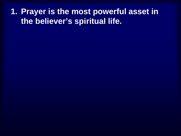**1. Prayer is the most powerful asset in the believer's spiritual life.**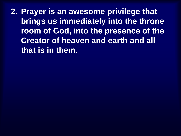**2. Prayer is an awesome privilege that brings us immediately into the throne room of God, into the presence of the Creator of heaven and earth and all that is in them.**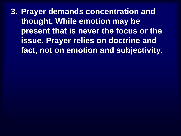**3. Prayer demands concentration and thought. While emotion may be present that is never the focus or the issue. Prayer relies on doctrine and fact, not on emotion and subjectivity.**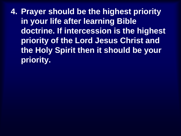**4. Prayer should be the highest priority in your life after learning Bible doctrine. If intercession is the highest priority of the Lord Jesus Christ and the Holy Spirit then it should be your priority.**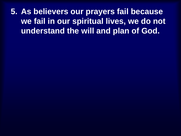**5. As believers our prayers fail because we fail in our spiritual lives, we do not understand the will and plan of God.**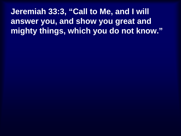**Jeremiah 33:3, "Call to Me, and I will answer you, and show you great and mighty things, which you do not know."**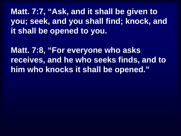**Matt. 7:7, "Ask, and it shall be given to you; seek, and you shall find; knock, and it shall be opened to you.**

**Matt. 7:8, "For everyone who asks receives, and he who seeks finds, and to him who knocks it shall be opened."**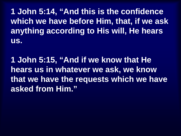**1 John 5:14, "And this is the confidence which we have before Him, that, if we ask anything according to His will, He hears us.**

**1 John 5:15, "And if we know that He hears us in whatever we ask, we know that we have the requests which we have asked from Him."**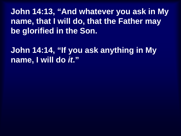**John 14:13, "And whatever you ask in My name, that I will do, that the Father may be glorified in the Son.**

**John 14:14, "If you ask anything in My name, I will do** *it***."**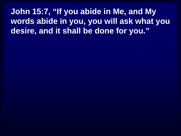**John 15:7, "If you abide in Me, and My words abide in you, you will ask what you desire, and it shall be done for you."**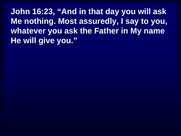**John 16:23, "And in that day you will ask Me nothing. Most assuredly, I say to you, whatever you ask the Father in My name He will give you."**